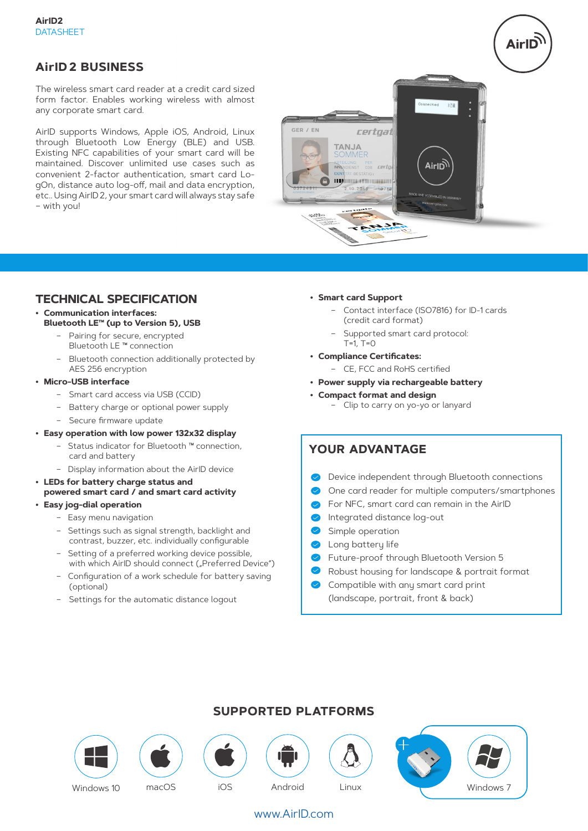## **AirID2 BUSINESS**

The wireless smart card reader at a credit card sized form factor. Enables working wireless with almost any corporate smart card.

AirID supports Windows, Apple iOS, Android, Linux through Bluetooth Low Energy (BLE) and USB. Existing NFC capabilities of your smart card will be maintained. Discover unlimited use cases such as convenient 2-factor authentication, smart card LogOn, distance auto log-off, mail and data encryption, etc.. Using AirID2, your smart card will always stay safe – with you!



## **TECHNICAL SPECIFICATION**

- **• Communication interfaces: Bluetooth LE™ (up to Version 5), USB**
	- Pairing for secure, encrypted
		- Bluetooth LE ™ connection
	- Bluetooth connection additionally protected by AES 256 encryption

#### **• Micro-USB interface**

- Smart card access via USB (CCID)
- Battery charge or optional power supply
- Secure firmware update
- **• Easy operation with low power 132x32 display**
	- Status indicator for Bluetooth ™ connection, card and battery
	- Display information about the AirID device
- **• LEDs for battery charge status and powered smart card / and smart card activity**

#### **• Easy jog-dial operation**

- Easy menu navigation
- Settings such as signal strength, backlight and contrast, buzzer, etc. individually configurable
- Setting of a preferred working device possible, with which AirID should connect ("Preferred Device")
- Configuration of a work schedule for battery saving (optional)
- Settings for the automatic distance logout

#### **• Smart card Support**

- Contact interface (ISO7816) for ID-1 cards (credit card format)
- Supported smart card protocol:  $T=1, T=0$
- **• Compliance Certificates:**
	- CE, FCC and RoHS certified
- **• Power supply via rechargeable battery**
- **• Compact format and design**  – Clip to carry on yo-yo or lanyard

## **YOUR ADVANTAGE**

- **Device independent through Bluetooth connections**
- One card reader for multiple computers/smartphones
- For NFC, smart card can remain in the AirID
- $\bullet$ Integrated distance log-out
- Simple operation
- **C** Long battery life
- $\bullet$ Future-proof through Bluetooth Version 5
- Robust housing for landscape & portrait format
- Compatible with any smart card print (landscape, portrait, front & back)









## www.AirID.com

## **SUPPORTED PLATFORMS**